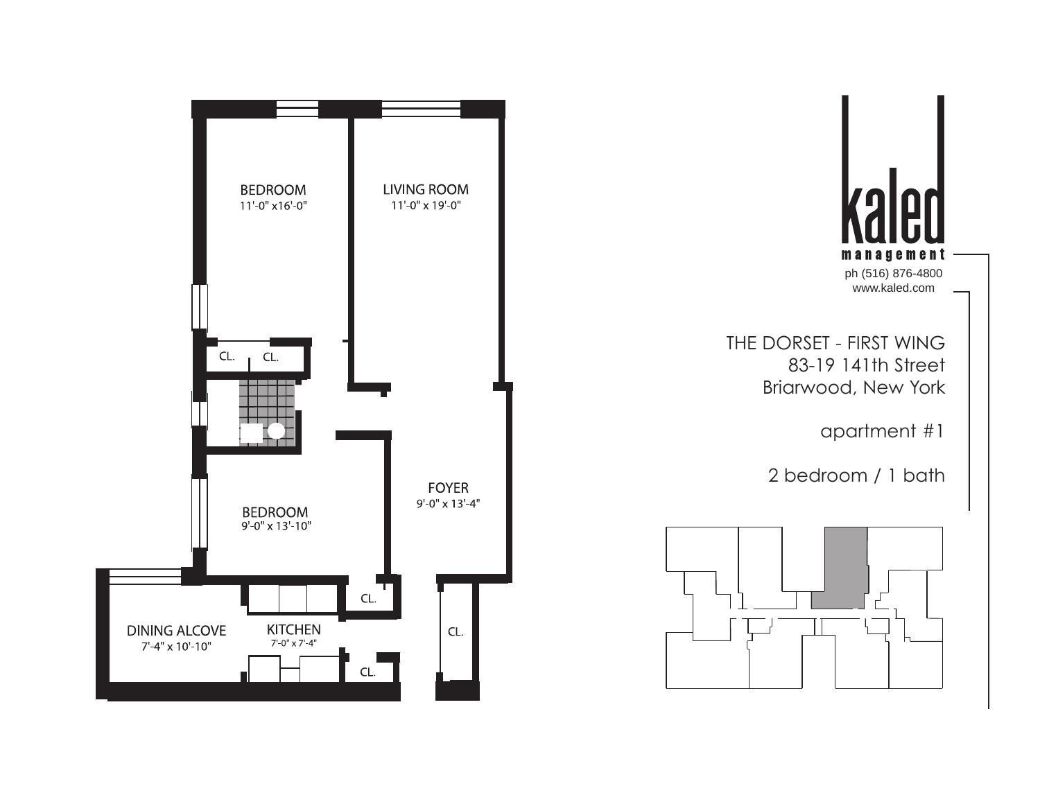



2 bedroom / 1 bath

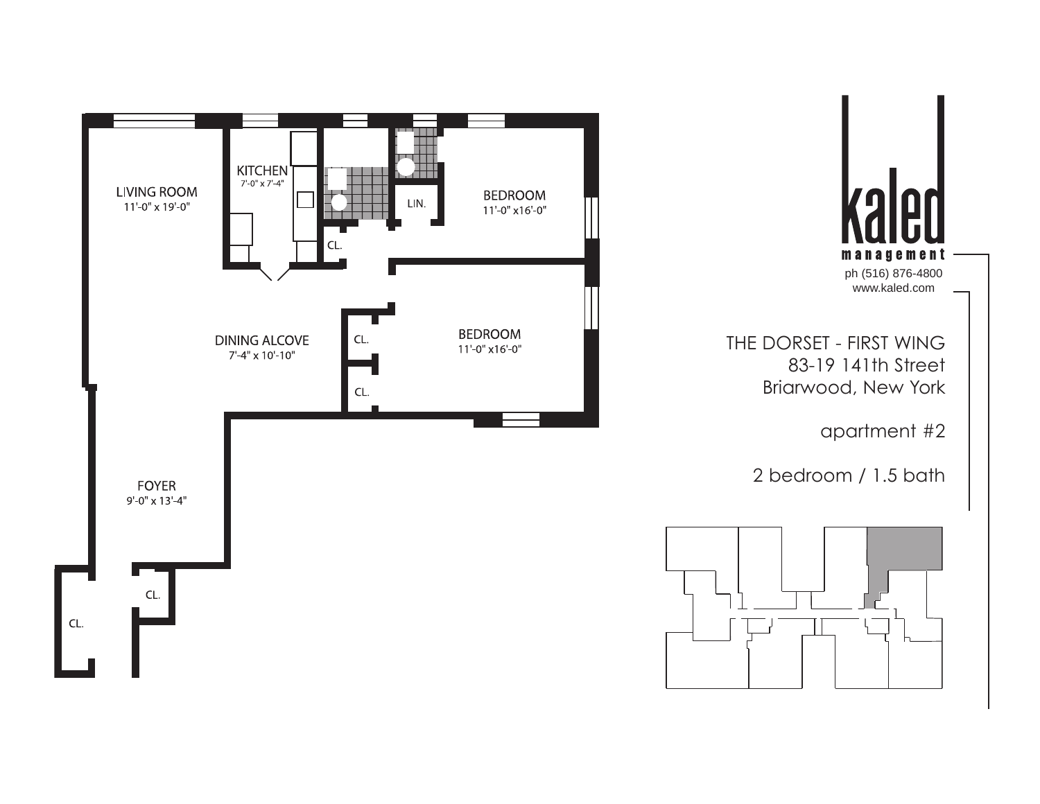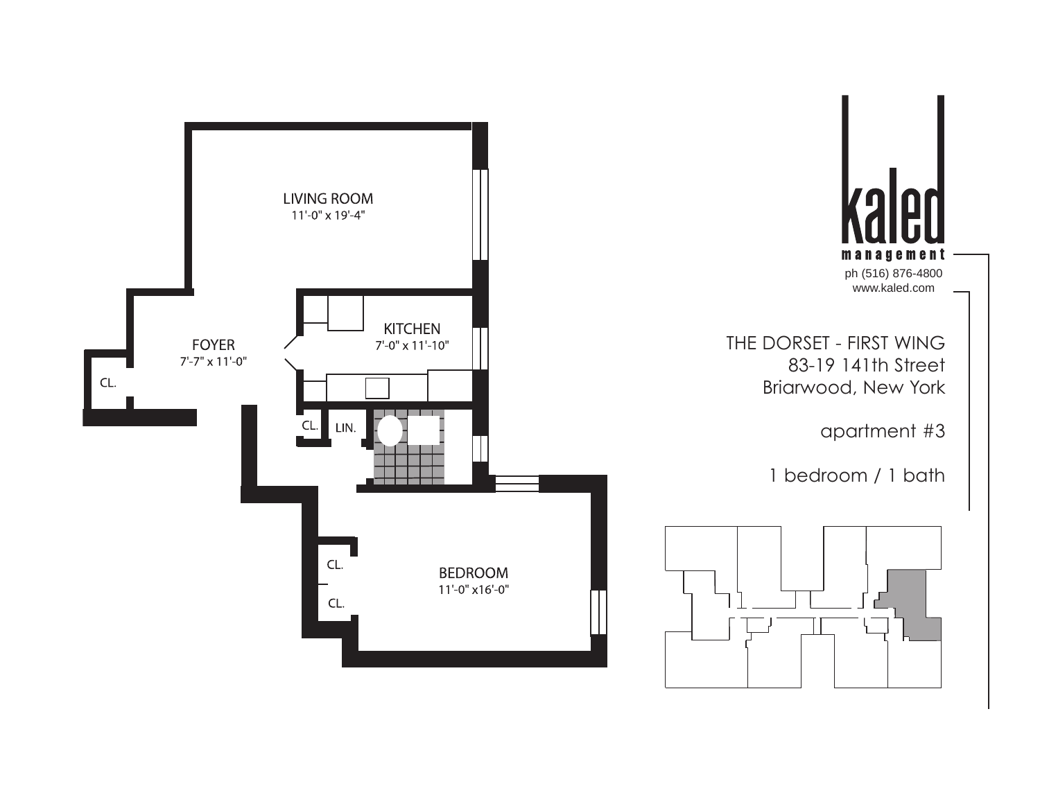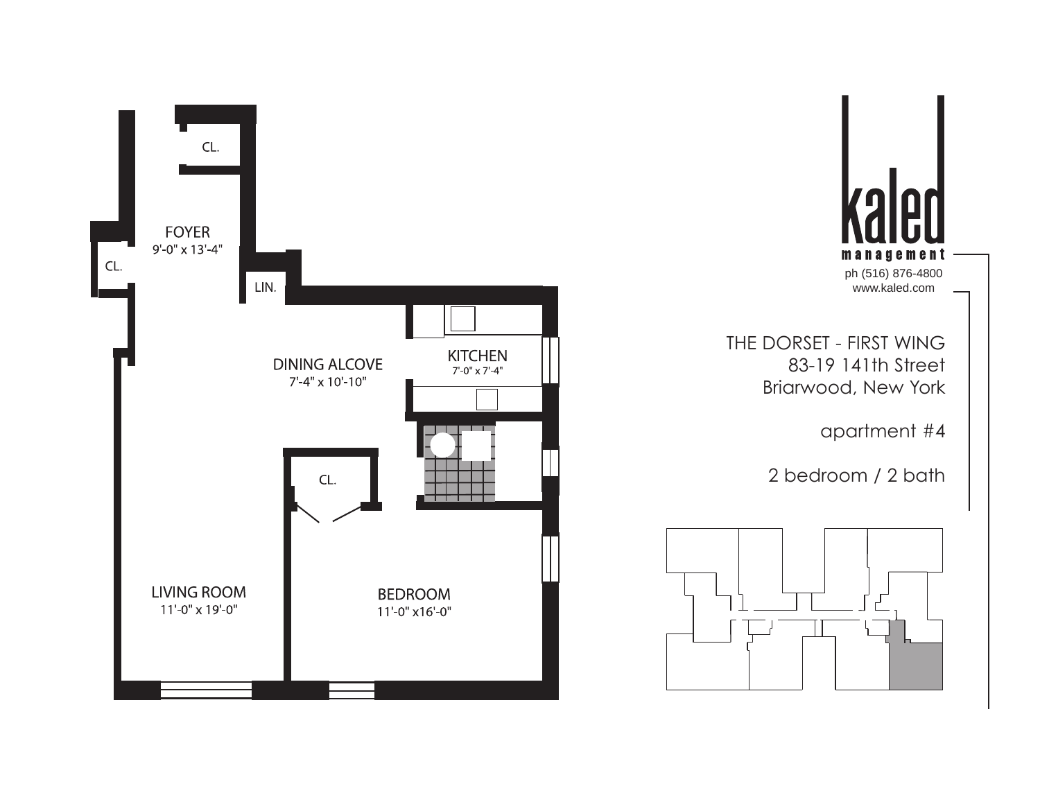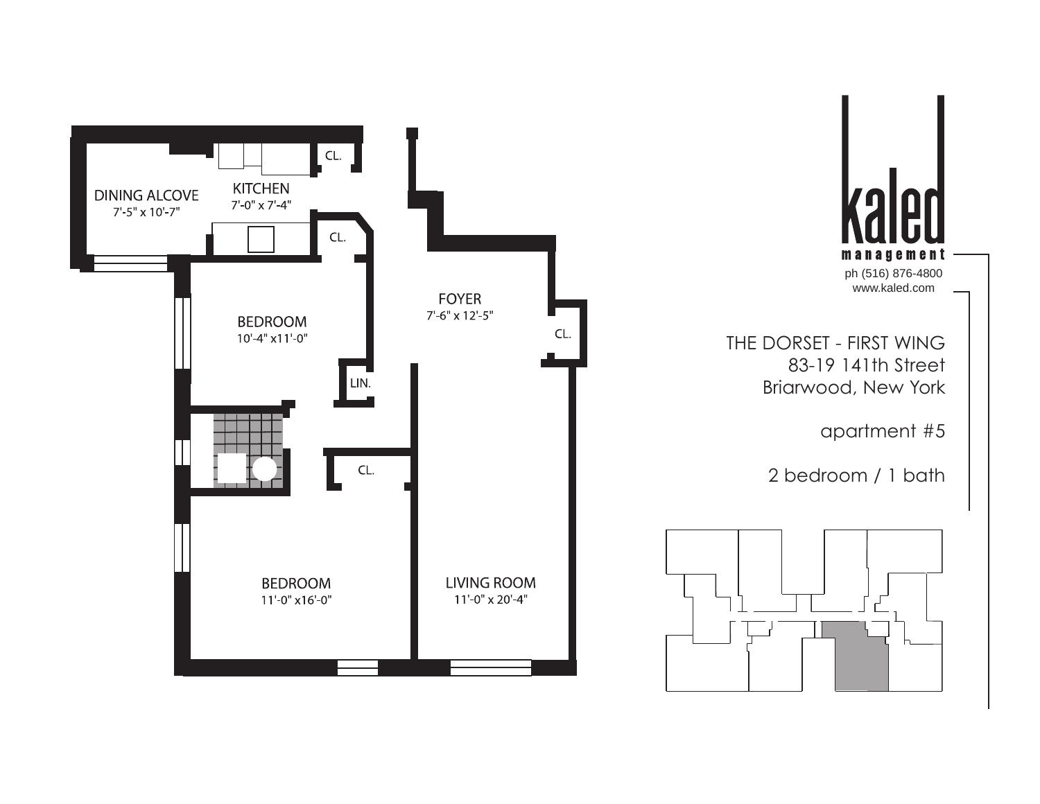$\lfloor$  CL.  $\rfloor$ **KITCHEN DINING ALCOVE**  $7'$ -0" x 7'-4" 7'-5" x 10'-7" CL. **FOYER**  $7'$ -6" x 12'-5" **BEDROOM** CL.  $10'-4"$  x11'-0"  $\boxed{\begin{matrix} \text{LN.} \ \end{matrix}}$  $CL$ . **BEDROOM LIVING ROOM** 11'-0" x16'-0"  $11'-0'' \times 20'-4''$ 



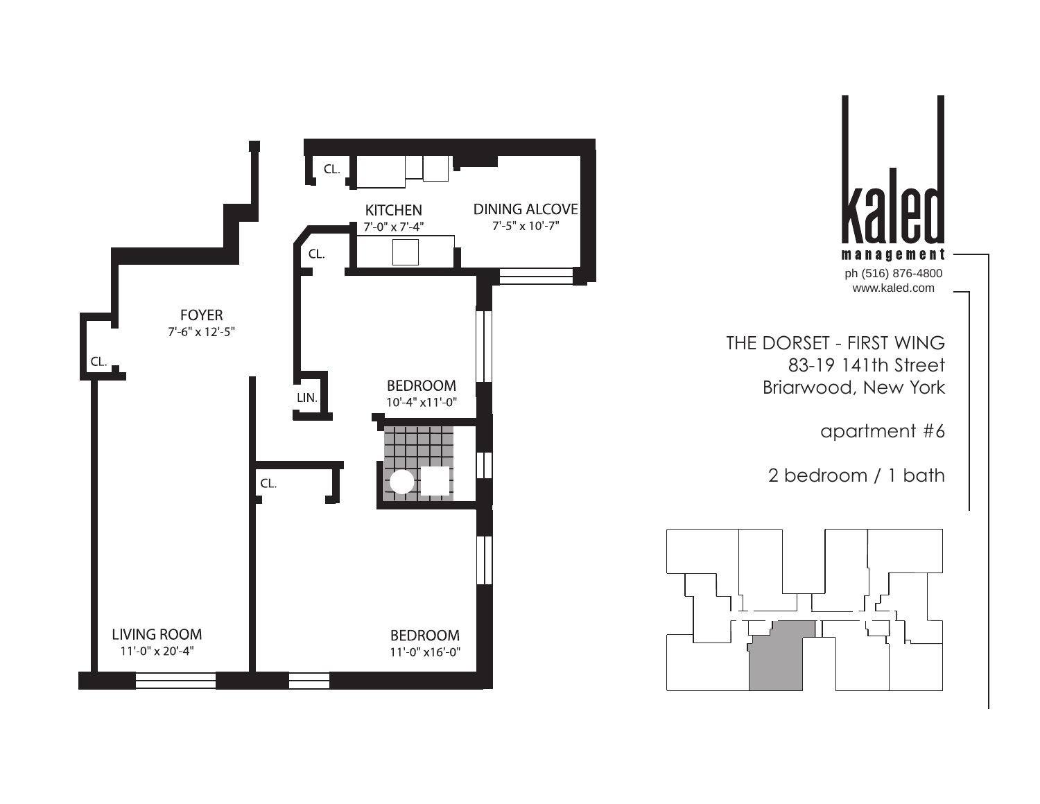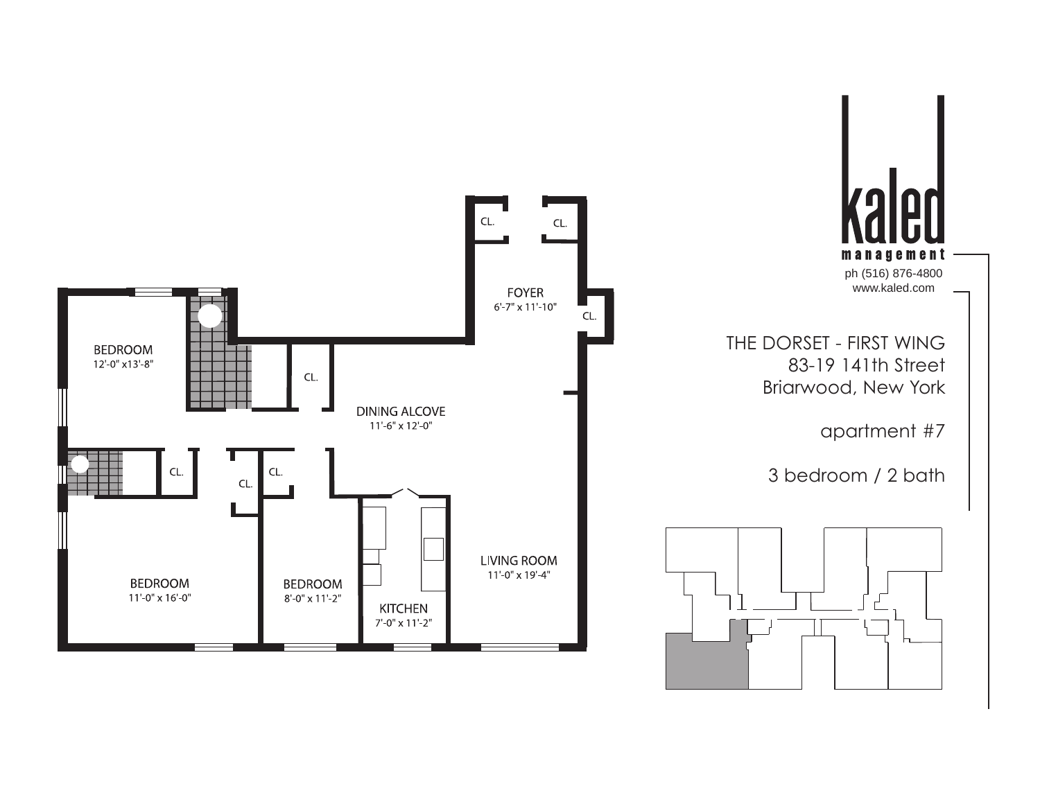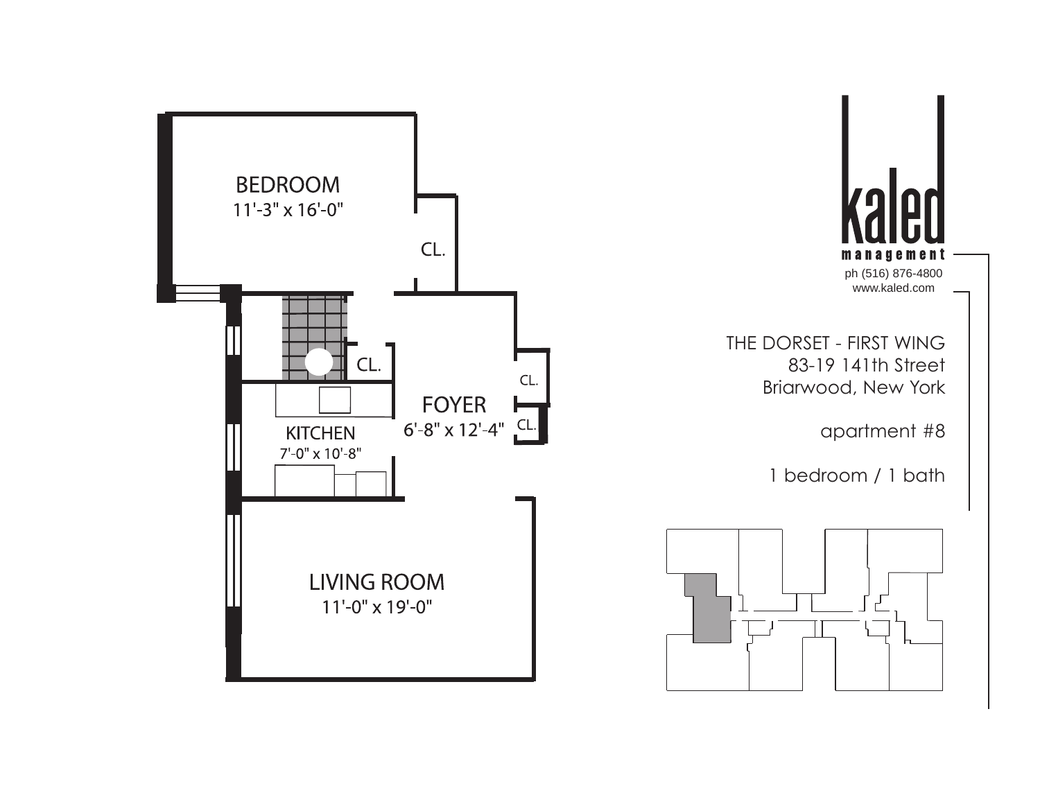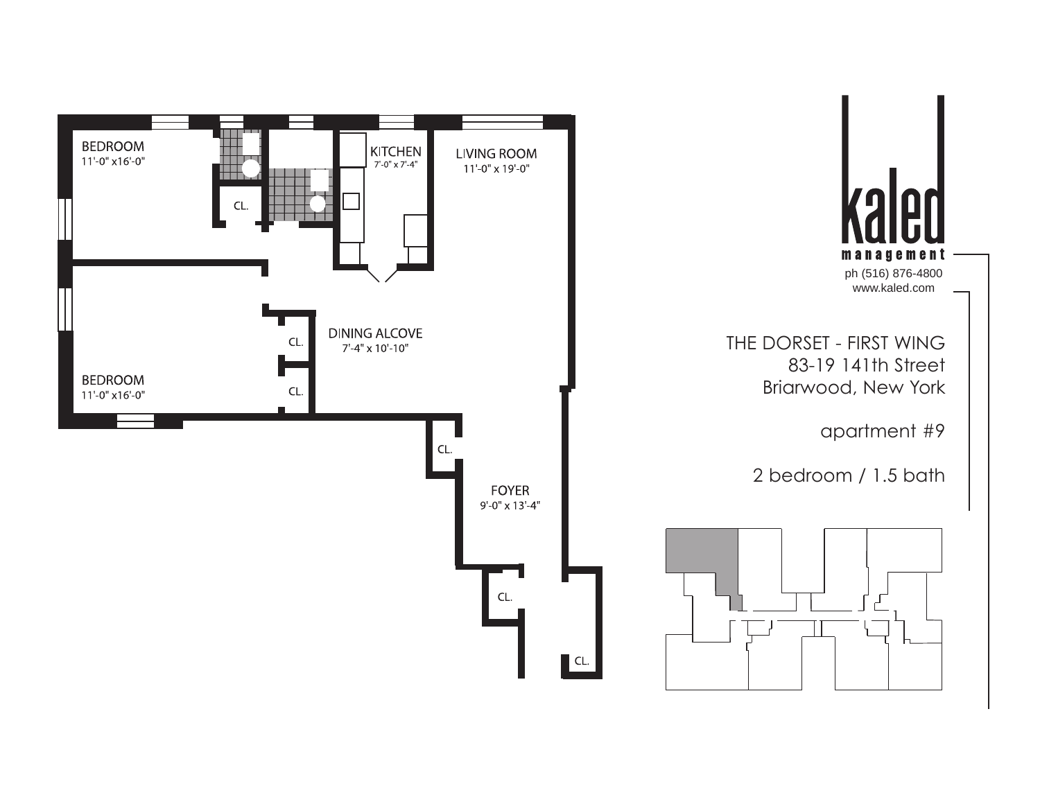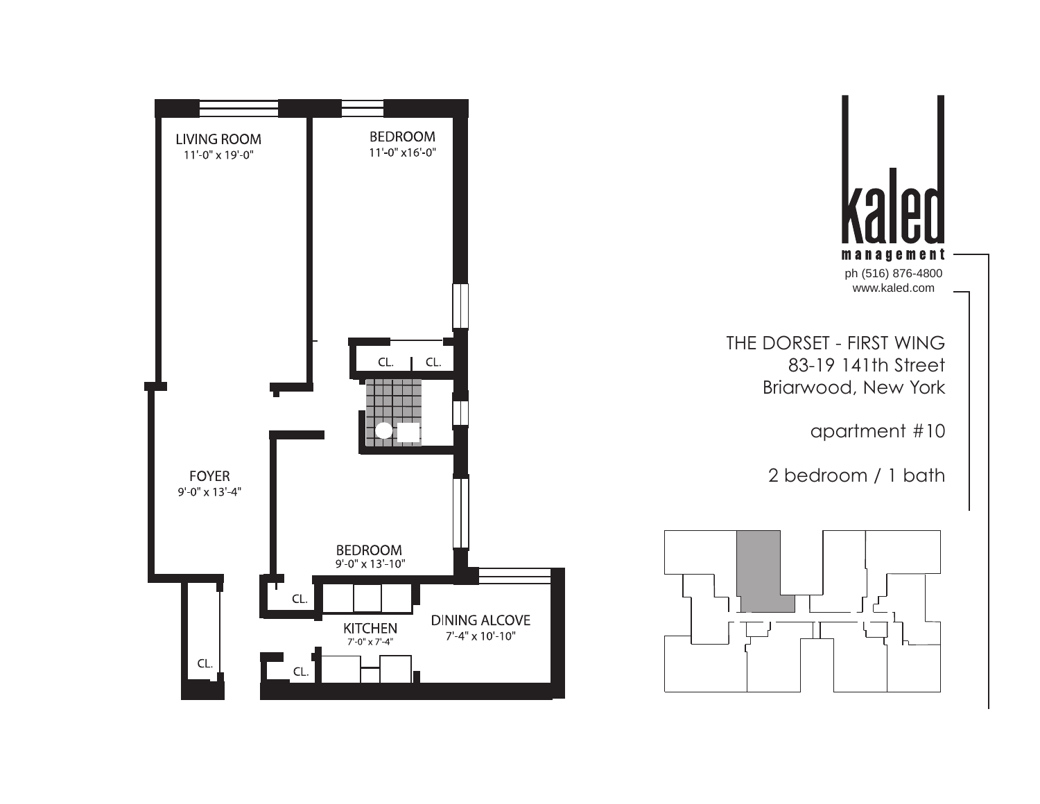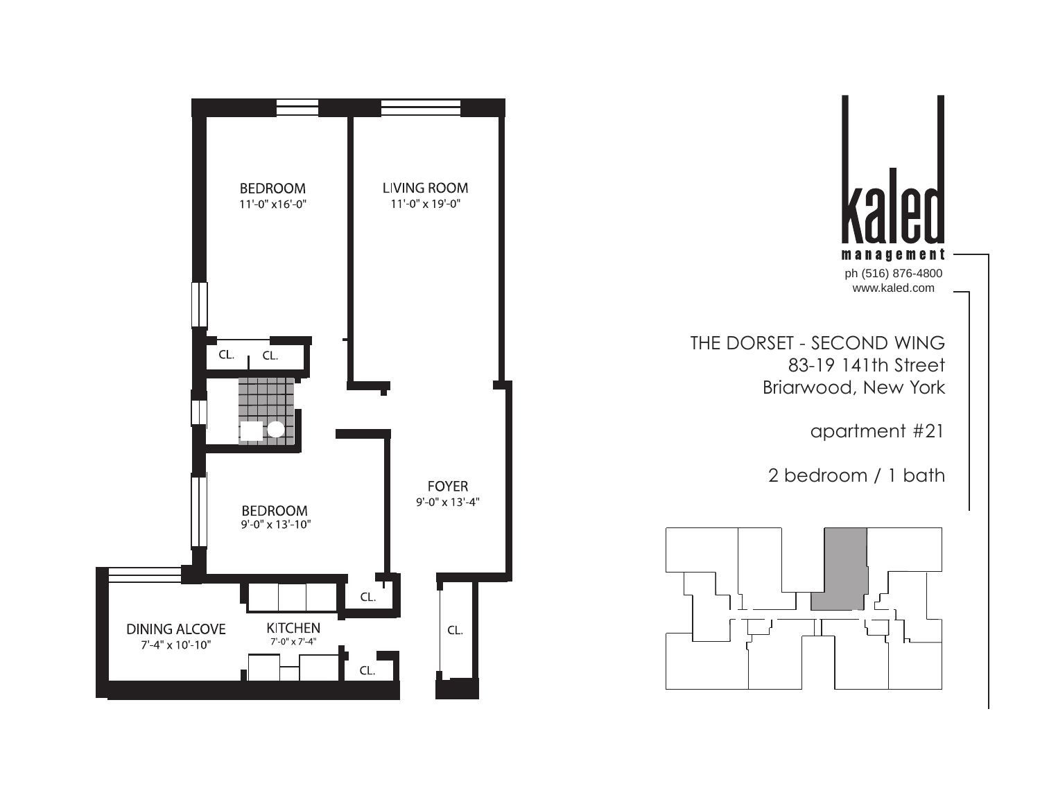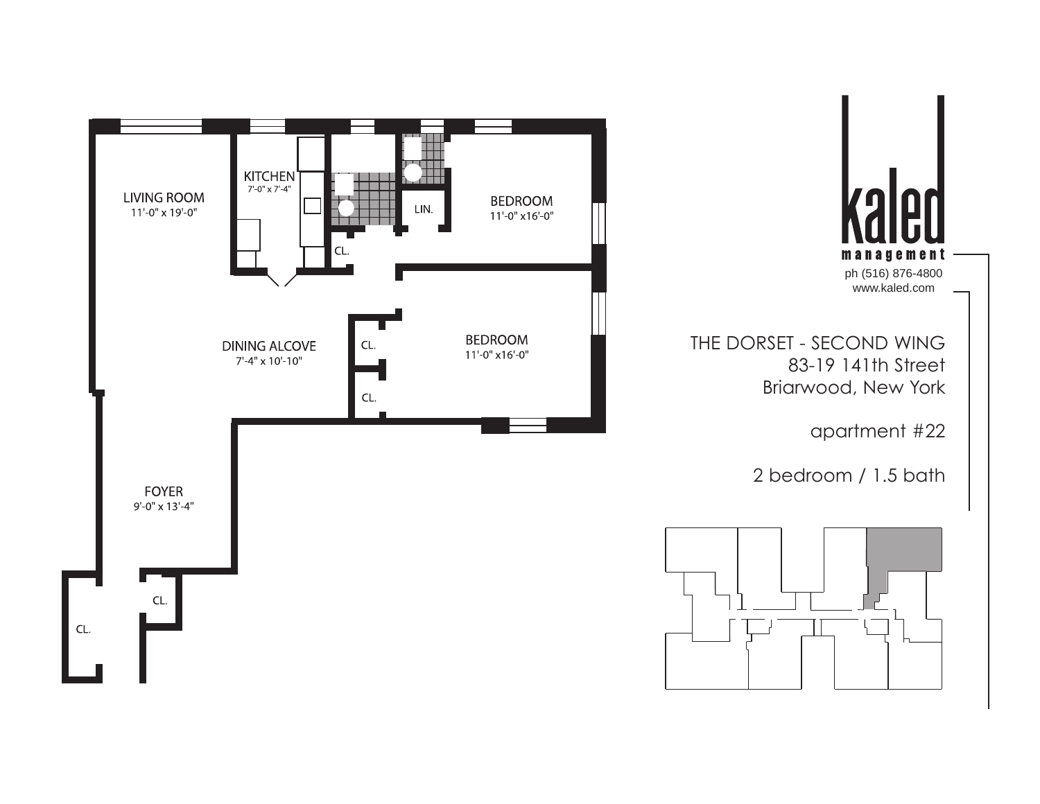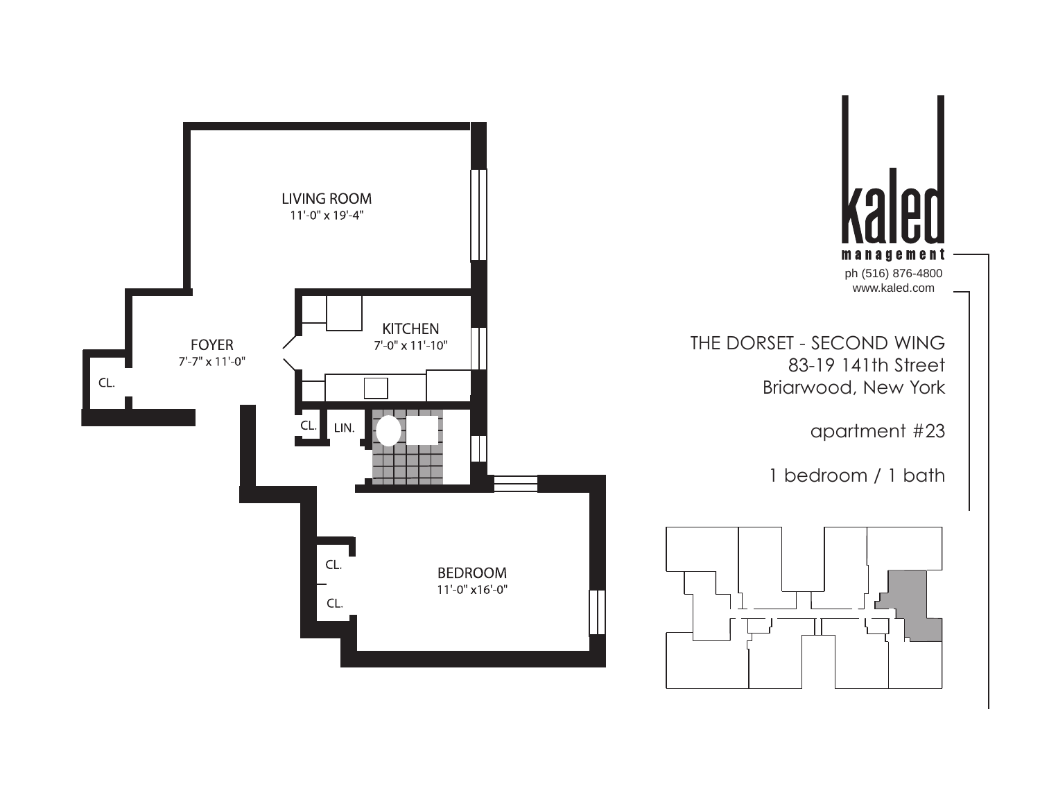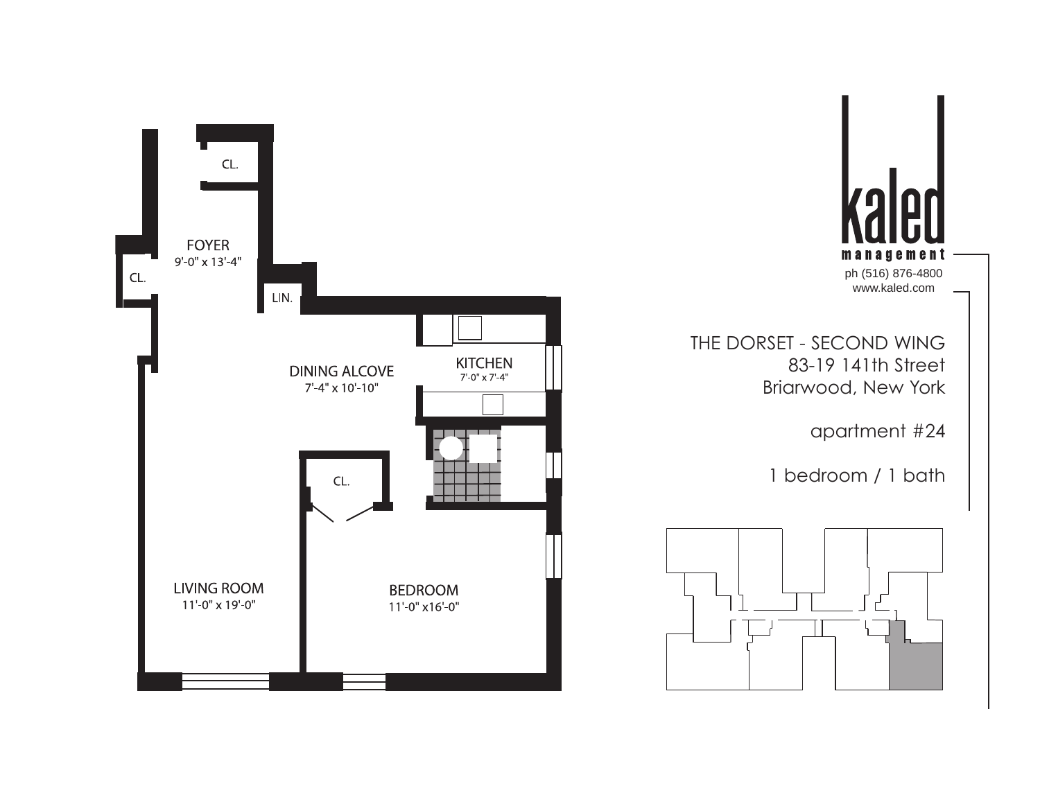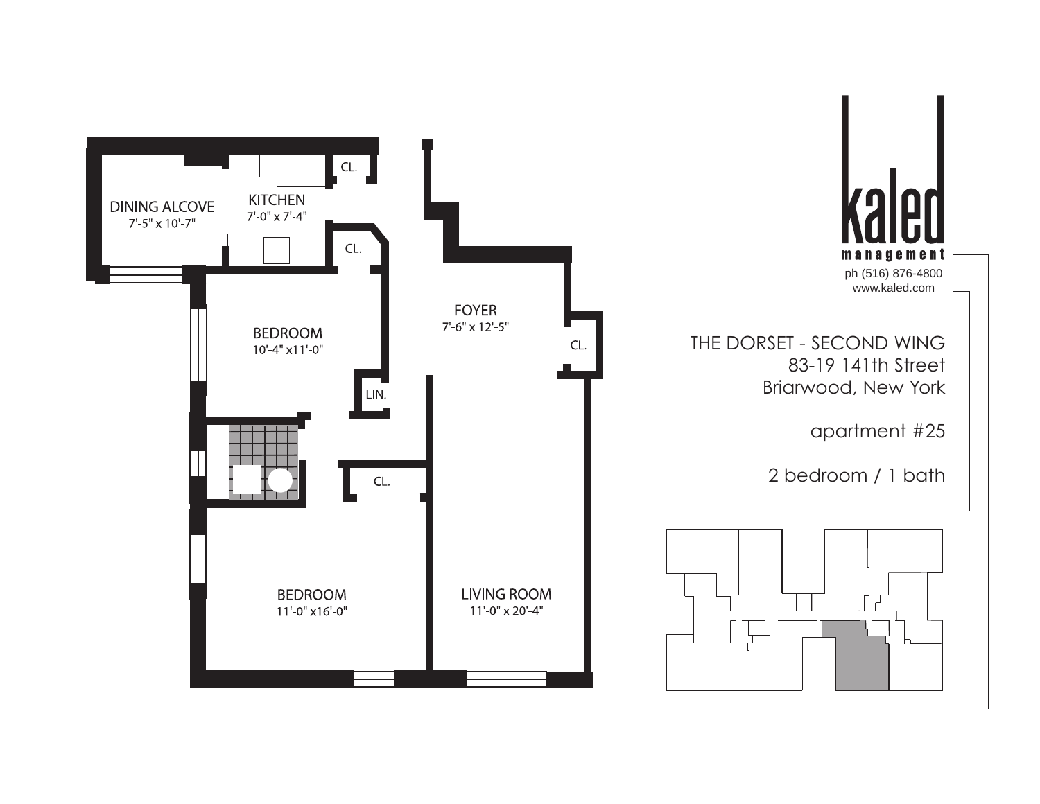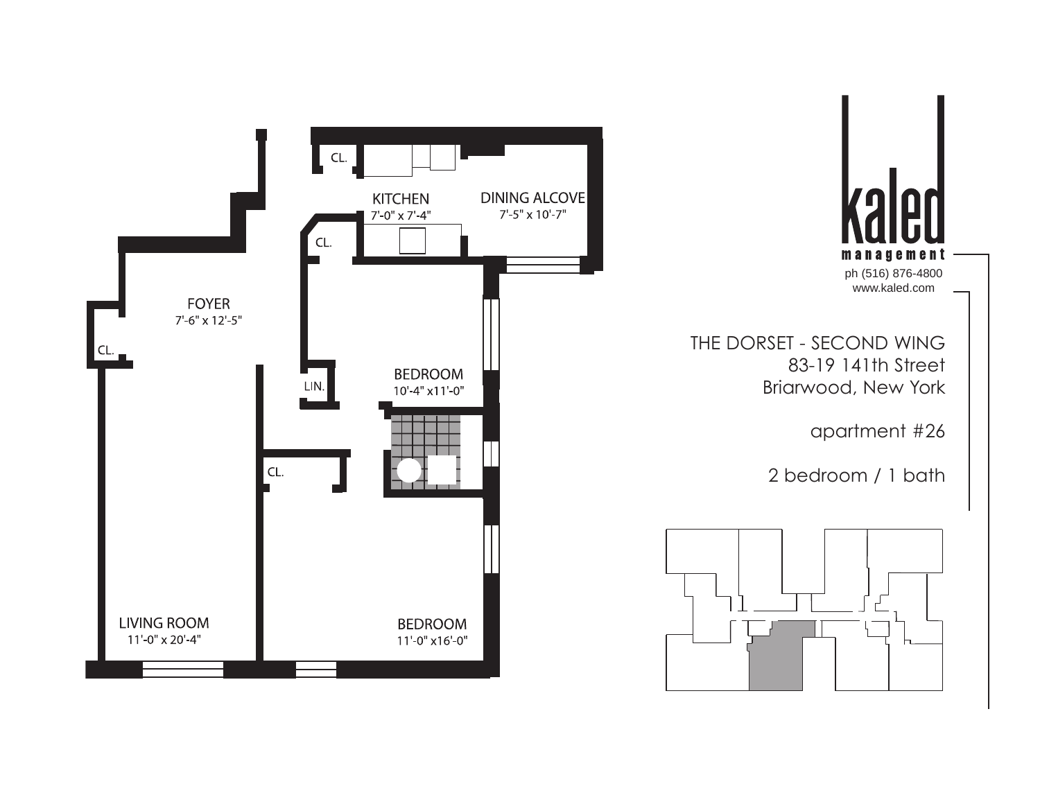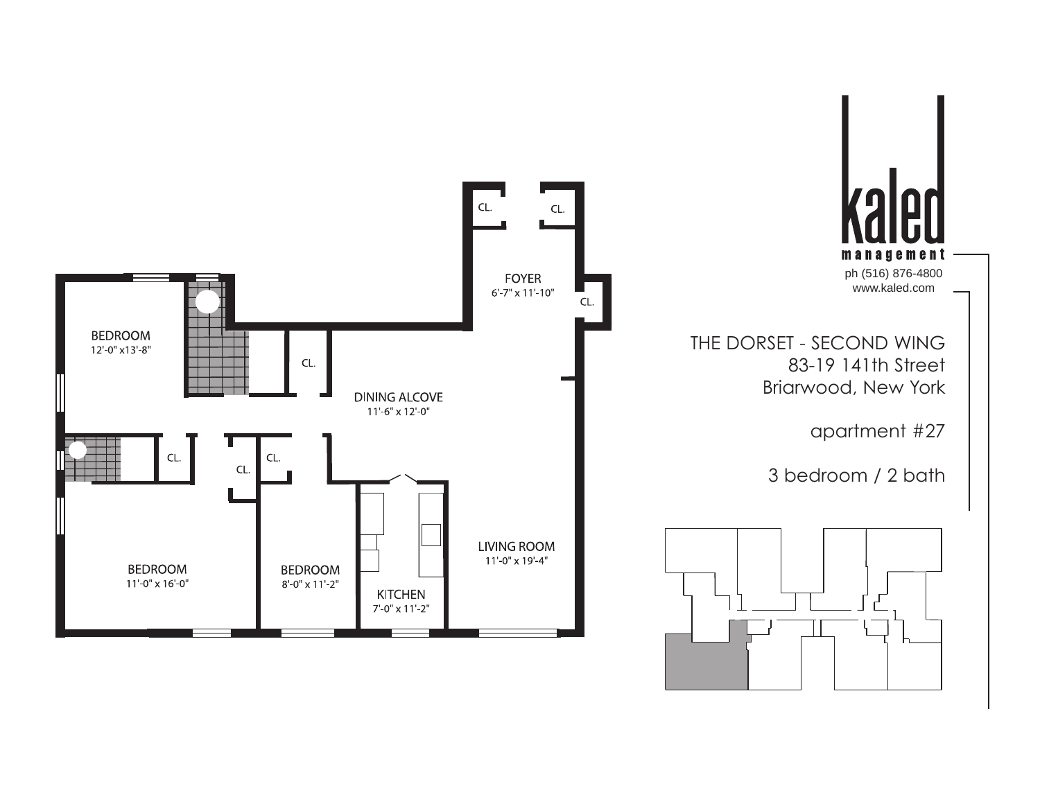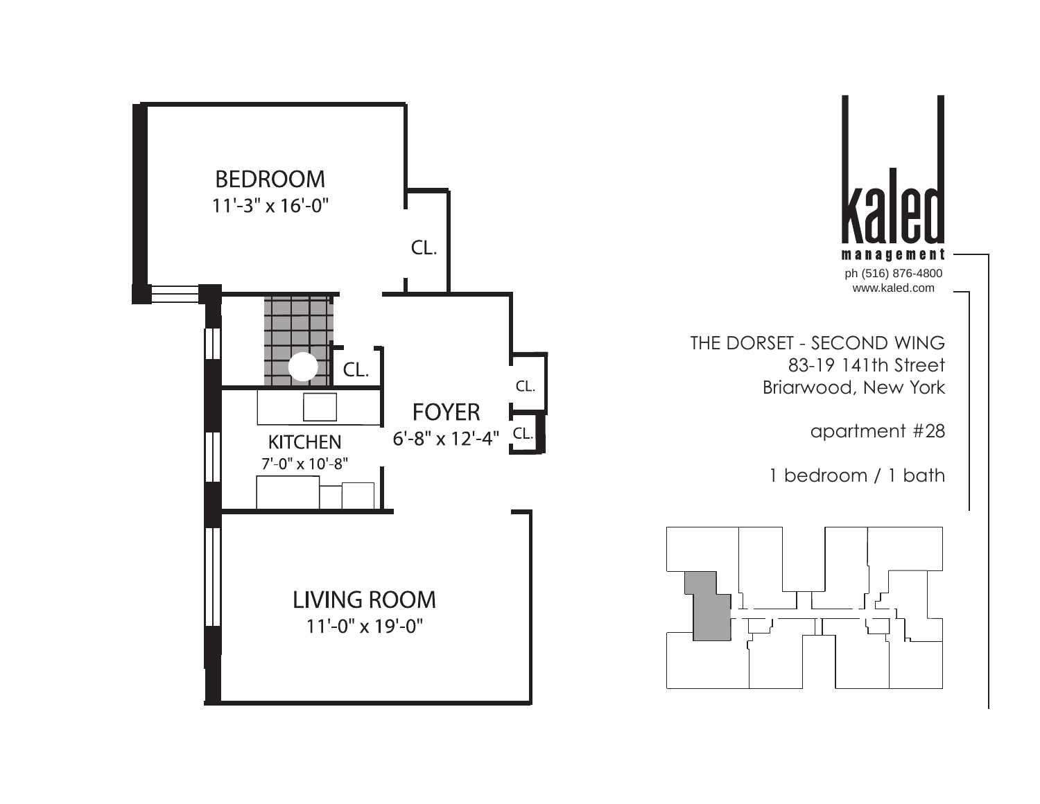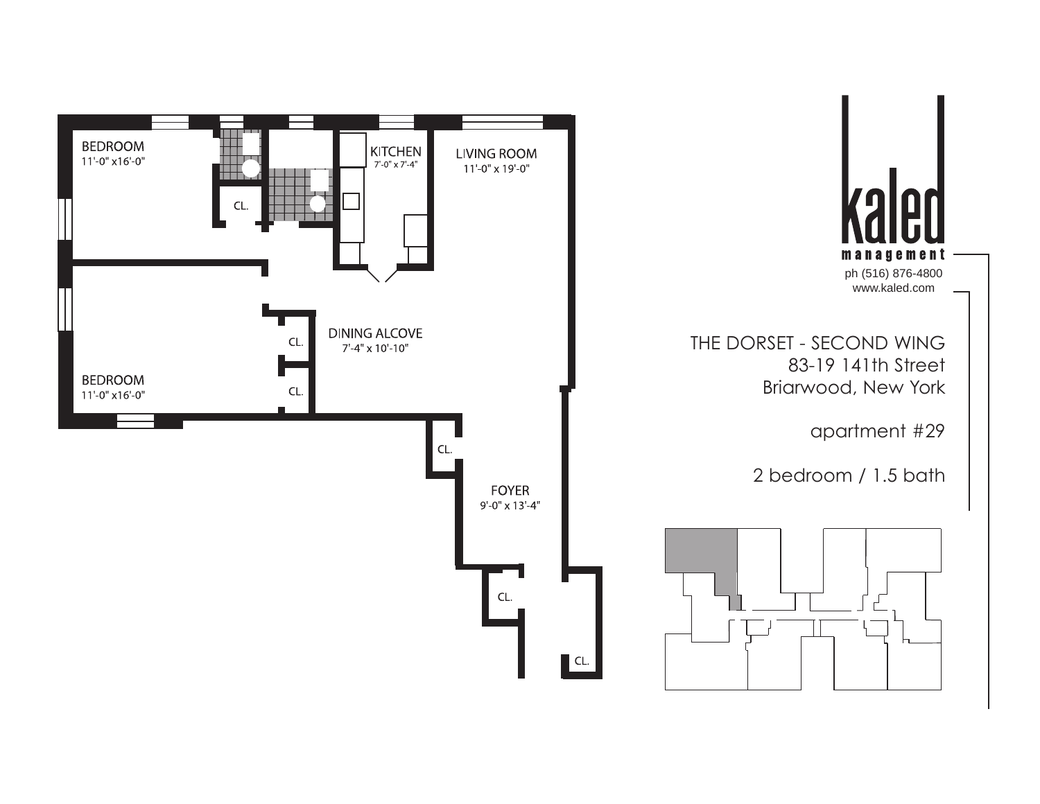